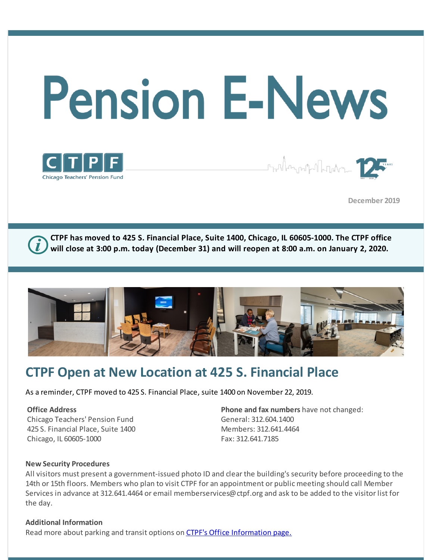





**December 2019** 

**CTPF has moved to 425 S. Financial Place, Suite 1400, Chicago, IL 60605-1000. The CTPF office will close at 3:00 p.m. today (December 31) and will reopen at 8:00 a.m. on January 2, 2020.** 



## **CTPF Open at New Location at 425 S. Financial Place**

As a reminder, CTPF moved to 425 S. Financial Place, suite 1400 on November 22, 2019.

#### **Office Address**

Chicago Teachers' Pension Fund 425 S. Financial Place, Suite 1400 Chicago, IL 60605-1000

**Phone and fax numbers** have not changed: General: 312.604.1400 Members: 312.641.4464 Fax: 312.641.7185

#### **New Security Procedures**

All visitors must present a government-issued photo ID and clear the building's security before proceeding to the 14th or 15th floors. Members who plan to visit CTPF for an appointment or public meeting should call Member Services in advance at 312.641.4464 or email memberservices@ctpf.org and ask to be added to the visitor list for the day.

#### **Additional Information**

Read more about parking and transit options on [CTPF's Office Information page.](https://www.ctpf.org/office-information)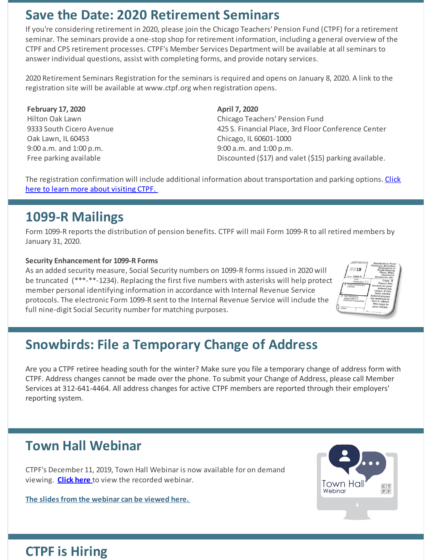## **Save the Date: 2020 Retirement Seminars**

If you're considering retirement in 2020, please join the Chicago Teachers' Pension Fund (CTPF) for a retirement seminar. The seminars provide a one-stop shop for retirement information, including a general overview of the CTPF and CPS retirement processes. CTPF's Member Services Department will be available at all seminars to answer individual questions, assist with completing forms, and provide notary services.

2020 Retirement Seminars Registration for the seminars is required and opens on January 8, 2020. A link to the registration site will be available at www.ctpf.org when registration opens.

**February 17, 2020** Hilton Oak Lawn 9333 South Cicero Avenue Oak Lawn, IL 60453 9:00 a.m. and 1:00 p.m. Free parking available

**April 7, 2020**

Chicago Teachers' Pension Fund 425 S. Financial Place, 3rd Floor Conference Center Chicago, IL 60601-1000 9:00 a.m. and 1:00 p.m. Discounted (\$17) and valet (\$15) parking available.

[The registration confirmation will include additional information about transportation and parking options. Click](https://www.ctpf.org/office-information) here to learn more about visiting CTPF.

## **1099-R Mailings**

Form 1099-R reports the distribution of pension benefits. CTPF will mail Form 1099-R to all retired members by January 31, 2020.

### **Security Enhancement for 1099-R Forms**

As an added security measure, Social Security numbers on 1099-R forms issued in 2020 will be truncated (\*\*\*-\*\*-1234). Replacing the first five numbers with asterisks will help protect member personal identifying information in accordance with Internal Revenue Service protocols. The electronic Form 1099-R sent to the Internal Revenue Service will include the full nine-digit Social Security number for matching purposes.



# **Snowbirds: File a Temporary Change of Address**

Are you a CTPF retiree heading south for the winter? Make sure you file a temporary change of address form with CTPF. Address changes cannot be made over the phone. To submit your Change of Address, please call Member Services at 312-641-4464. All address changes for active CTPF members are reported through their employers' reporting system.

## **Town Hall Webinar**

CTPF's December 11, 2019, Town Hall Webinar is now available for on demand viewing. **[Click here](http://register.gotowebinar.com/recording/5624102435114383623)** to view the recorded webinar.

**[The slides from the webinar can be viewed here.](https://www.ctpf.org/sites/main/files/file-attachments/december_2019_town_hall_webinar_mh_1.pdf)** 



### **CTPF is Hiring**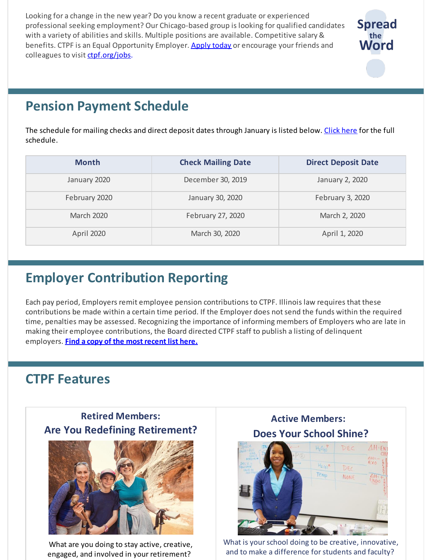Looking for a change in the new year? Do you know a recent graduate or experienced professional seeking employment? Our Chicago-based group is looking for qualified candidates with a variety of abilities and skills. Multiple positions are available. Competitive salary & benefits. CTPF is an Equal Opportunity Employer. [Apply](https://bit.ly/2IpJhUF) today or encourage your friends and colleagues to visit [ctpf.org/jobs](http://www.ctpf.org/jobs).



# **Pension Payment Schedule**

The schedule for mailing checks and direct deposit dates through January is listed below. [Click](https://www.ctpf.org/pension-payments) here for the full schedule.

| <b>Month</b>      | <b>Check Mailing Date</b> | <b>Direct Deposit Date</b> |
|-------------------|---------------------------|----------------------------|
| January 2020      | December 30, 2019         | January 2, 2020            |
| February 2020     | January 30, 2020          | February 3, 2020           |
| <b>March 2020</b> | February 27, 2020         | March 2, 2020              |
| April 2020        | March 30, 2020            | April 1, 2020              |

# **Employer Contribution Reporting**

Each pay period, Employers remit employee pension contributions to CTPF. Illinois law requires that these contributions be made within a certain time period. If the Employer does not send the funds within the required time, penalties may be assessed. Recognizing the importance of informing members of Employers who are late in making their employee contributions, the Board directed CTPF staff to publish a listing of delinquent employers. **Find a copy of the most [recent](http://ctpf.org/employer-contribution-reporting) list here.**

### **CTPF Features**





What are you doing to stay active, creative, engaged, and involved in your retirement?





What is your school doing to be creative, innovative, and to make a difference for students and faculty?